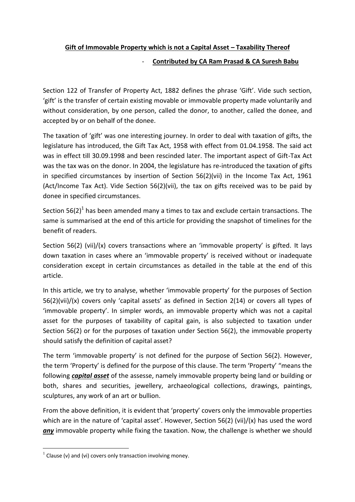## **Gift of Immovable Property which is not a Capital Asset – Taxability Thereof**

## - **Contributed by CA Ram Prasad & CA Suresh Babu**

Section 122 of Transfer of Property Act, 1882 defines the phrase 'Gift'. Vide such section, 'gift' is the transfer of certain existing movable or immovable property made voluntarily and without consideration, by one person, called the donor, to another, called the donee, and accepted by or on behalf of the donee.

The taxation of 'gift' was one interesting journey. In order to deal with taxation of gifts, the legislature has introduced, the Gift Tax Act, 1958 with effect from 01.04.1958. The said act was in effect till 30.09.1998 and been rescinded later. The important aspect of Gift-Tax Act was the tax was on the donor. In 2004, the legislature has re-introduced the taxation of gifts in specified circumstances by insertion of Section 56(2)(vii) in the Income Tax Act, 1961 (Act/Income Tax Act). Vide Section 56(2)(vii), the tax on gifts received was to be paid by donee in specified circumstances.

Section 56(2)<sup>1</sup> has been amended many a times to tax and exclude certain transactions. The same is summarised at the end of this article for providing the snapshot of timelines for the benefit of readers.

Section 56(2) (vii)/(x) covers transactions where an 'immovable property' is gifted. It lays down taxation in cases where an 'immovable property' is received without or inadequate consideration except in certain circumstances as detailed in the table at the end of this article.

In this article, we try to analyse, whether 'immovable property' for the purposes of Section 56(2)(vii)/(x) covers only 'capital assets' as defined in Section 2(14) or covers all types of 'immovable property'. In simpler words, an immovable property which was not a capital asset for the purposes of taxability of capital gain, is also subjected to taxation under Section 56(2) or for the purposes of taxation under Section 56(2), the immovable property should satisfy the definition of capital asset?

The term 'immovable property' is not defined for the purpose of Section 56(2). However, the term 'Property' is defined for the purpose of this clause. The term 'Property' "means the following *capital asset* of the assesse, namely immovable property being land or building or both, shares and securities, jewellery, archaeological collections, drawings, paintings, sculptures, any work of an art or bullion.

From the above definition, it is evident that 'property' covers only the immovable properties which are in the nature of 'capital asset'. However, Section 56(2) (vii)/(x) has used the word *any* immovable property while fixing the taxation. Now, the challenge is whether we should

1

 $1$  Clause (v) and (vi) covers only transaction involving money.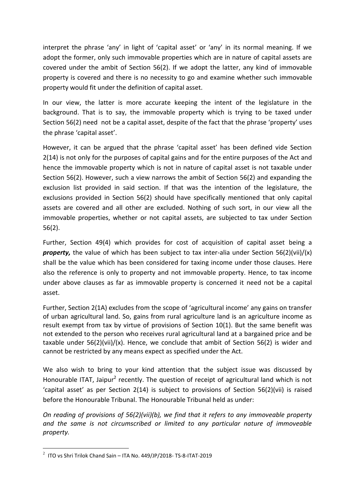interpret the phrase 'any' in light of 'capital asset' or 'any' in its normal meaning. If we adopt the former, only such immovable properties which are in nature of capital assets are covered under the ambit of Section 56(2). If we adopt the latter, any kind of immovable property is covered and there is no necessity to go and examine whether such immovable property would fit under the definition of capital asset.

In our view, the latter is more accurate keeping the intent of the legislature in the background. That is to say, the immovable property which is trying to be taxed under Section 56(2) need not be a capital asset, despite of the fact that the phrase 'property' uses the phrase 'capital asset'.

However, it can be argued that the phrase 'capital asset' has been defined vide Section 2(14) is not only for the purposes of capital gains and for the entire purposes of the Act and hence the immovable property which is not in nature of capital asset is not taxable under Section 56(2). However, such a view narrows the ambit of Section 56(2) and expanding the exclusion list provided in said section. If that was the intention of the legislature, the exclusions provided in Section 56(2) should have specifically mentioned that only capital assets are covered and all other are excluded. Nothing of such sort, in our view all the immovable properties, whether or not capital assets, are subjected to tax under Section 56(2).

Further, Section 49(4) which provides for cost of acquisition of capital asset being a *property,* the value of which has been subject to tax inter-alia under Section 56(2)(vii)/(x) shall be the value which has been considered for taxing income under those clauses. Here also the reference is only to property and not immovable property. Hence, to tax income under above clauses as far as immovable property is concerned it need not be a capital asset.

Further, Section 2(1A) excludes from the scope of 'agricultural income' any gains on transfer of urban agricultural land. So, gains from rural agriculture land is an agriculture income as result exempt from tax by virtue of provisions of Section 10(1). But the same benefit was not extended to the person who receives rural agricultural land at a bargained price and be taxable under 56(2)(vii)/(x). Hence, we conclude that ambit of Section 56(2) is wider and cannot be restricted by any means expect as specified under the Act.

We also wish to bring to your kind attention that the subject issue was discussed by Honourable ITAT, Jaipur<sup>2</sup> recently. The question of receipt of agricultural land which is not 'capital asset' as per Section 2(14) is subject to provisions of Section 56(2)(vii) is raised before the Honourable Tribunal. The Honourable Tribunal held as under:

*On reading of provisions of 56(2)(vii)(b), we find that it refers to any immoveable property and the same is not circumscribed or limited to any particular nature of immoveable property.*

 2 ITO vs Shri Trilok Chand Sain – ITA No. 449/JP/2018- TS-8-ITAT-2019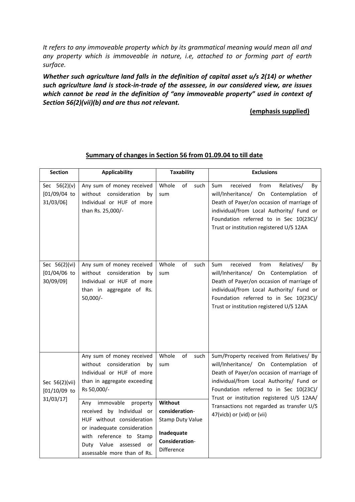*It refers to any immoveable property which by its grammatical meaning would mean all and any property which is immoveable in nature, i.e, attached to or forming part of earth surface.*

*Whether such agriculture land falls in the definition of capital asset u/s 2(14) or whether such agriculture land is stock-in-trade of the assessee, in our considered view, are issues which cannot be read in the definition of "any immoveable property" used in context of Section 56(2)(vii)(b) and are thus not relevant.*

## **(emphasis supplied)**

| <b>Section</b>                                 | <b>Applicability</b>                                                                                                                                                                                               | <b>Taxability</b>                                                                                  | <b>Exclusions</b>                                                                                                                                                                                                                                                                                                                            |
|------------------------------------------------|--------------------------------------------------------------------------------------------------------------------------------------------------------------------------------------------------------------------|----------------------------------------------------------------------------------------------------|----------------------------------------------------------------------------------------------------------------------------------------------------------------------------------------------------------------------------------------------------------------------------------------------------------------------------------------------|
| Sec $56(2)(v)$<br>$[01/09/04$ to<br>31/03/06]  | Any sum of money received<br>without consideration<br>bv<br>Individual or HUF of more<br>than Rs. 25,000/-                                                                                                         | Whole<br>of<br>such<br>sum                                                                         | from<br>Relatives/<br>Sum<br>received<br>By<br>will/Inheritance/ On Contemplation of<br>Death of Payer/on occasion of marriage of<br>individual/from Local Authority/ Fund or<br>Foundation referred to in Sec 10(23C)/<br>Trust or institution registered U/S 12AA                                                                          |
| Sec 56(2)(vi)<br>$[01/04/06$ to<br>30/09/09]   | Any sum of money received<br>without consideration<br>by<br>Individual or HUF of more<br>than in aggregate of Rs.<br>$50,000/-$                                                                                    | Whole<br>$\mathsf{of}$<br>such<br>sum                                                              | Sum<br>received<br>from<br>Relatives/<br>By<br>will/Inheritance/ On Contemplation of<br>Death of Payer/on occasion of marriage of<br>individual/from Local Authority/ Fund or<br>Foundation referred to in Sec 10(23C)/<br>Trust or institution registered U/S 12AA                                                                          |
| Sec 56(2)(vii)<br>$[01/10/09]$ to<br>31/03/17] | Any sum of money received<br>without consideration<br>by<br>Individual or HUF of more<br>than in aggregate exceeding<br>Rs 50,000/-                                                                                | Whole<br>of<br>such<br>sum                                                                         | Sum/Property received from Relatives/ By<br>will/Inheritance/ On Contemplation of<br>Death of Payer/on occasion of marriage of<br>individual/from Local Authority/ Fund or<br>Foundation referred to in Sec 10(23C)/<br>Trust or institution registered U/S 12AA/<br>Transactions not regarded as transfer U/S<br>47(vicb) or (vid) or (vii) |
|                                                | immovable<br>Any<br>property<br>received by Individual or<br>HUF without consideration<br>or inadequate consideration<br>with reference to Stamp<br>Value<br>assessed<br>or<br>Duty<br>assessable more than of Rs. | Without<br>consideration-<br><b>Stamp Duty Value</b><br>Inadequate<br>Consideration-<br>Difference |                                                                                                                                                                                                                                                                                                                                              |

## **Summary of changes in Section 56 from 01.09.04 to till date**